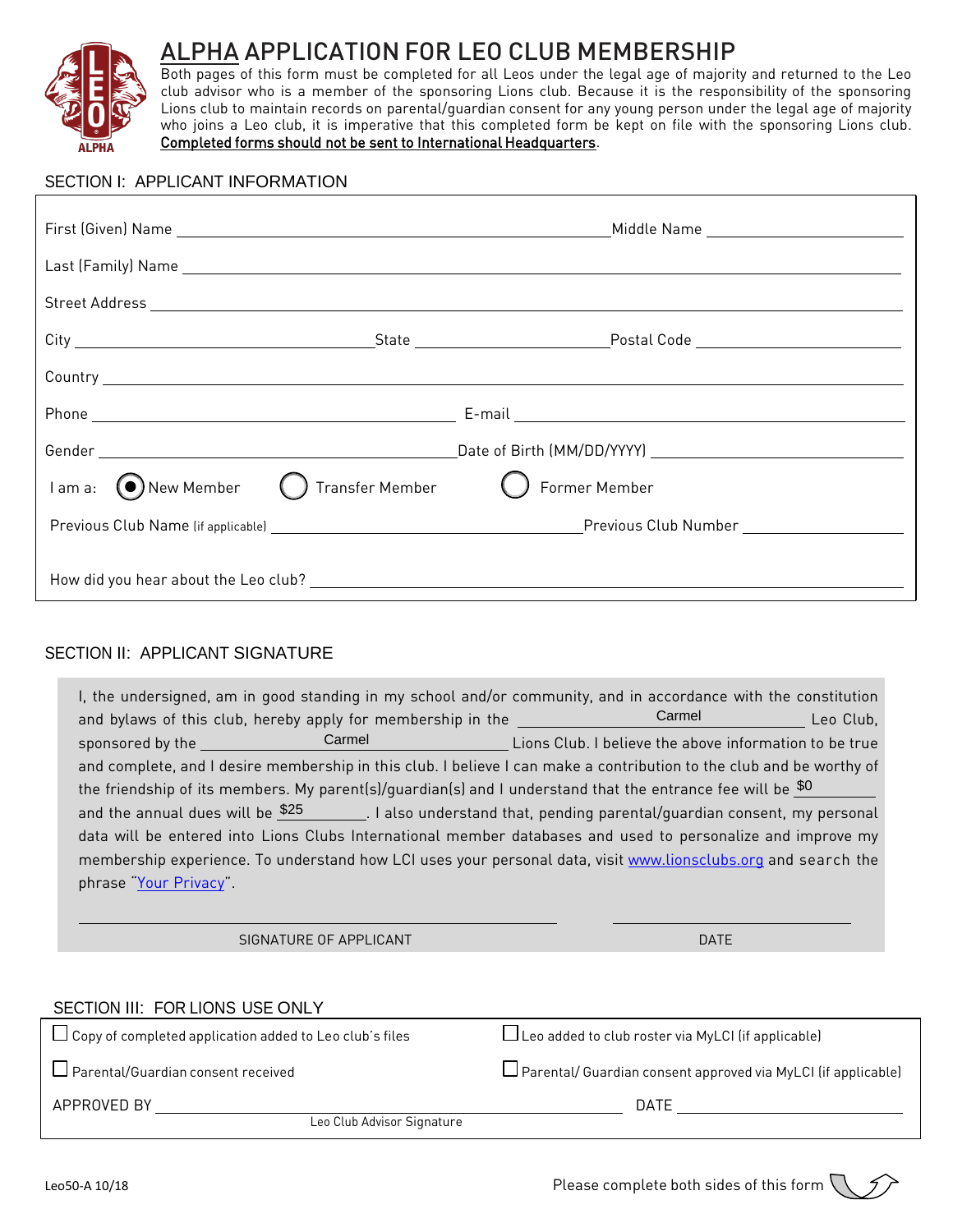

 $\sqrt{ }$ 

# ALPHA APPLICATION FOR LEO CLUB MEMBERSHIP

Both pages of this form must be completed for all Leos under the legal age of majority and returned to the Leo club advisor who is a member of the sponsoring Lions club. Because it is the responsibility of the sponsoring Lions club to maintain records on parental/guardian consent for any young person under the legal age of majority who joins a Leo club, it is imperative that this completed form be kept on file with the sponsoring Lions club. Completed forms should not be sent to International Headquarters.

#### SECTION I: APPLICANT INFORMATION

| Country experience and the contract of the contract of the contract of the contract of the contract of the contract of the contract of the contract of the contract of the contract of the contract of the contract of the con |  |  |  |  |
|--------------------------------------------------------------------------------------------------------------------------------------------------------------------------------------------------------------------------------|--|--|--|--|
|                                                                                                                                                                                                                                |  |  |  |  |
|                                                                                                                                                                                                                                |  |  |  |  |
| $\Box$ I am a: $\bigcirc$ New Member $\bigcirc$ Transfer Member $\bigcirc$ Former Member                                                                                                                                       |  |  |  |  |
|                                                                                                                                                                                                                                |  |  |  |  |
|                                                                                                                                                                                                                                |  |  |  |  |

## SECTION II: APPLICANT SIGNATURE

| I, the undersigned, am in good standing in my school and/or community, and in accordance with the constitution<br>and bylaws of this club, hereby apply for membership in the __________________Carmel Leo Club, |  |  |  |  |  |
|------------------------------------------------------------------------------------------------------------------------------------------------------------------------------------------------------------------|--|--|--|--|--|
| sponsored by the Carmel Carmel Carmel Carmel Lions Club. I believe the above information to be true                                                                                                              |  |  |  |  |  |
| and complete, and I desire membership in this club. I believe I can make a contribution to the club and be worthy of                                                                                             |  |  |  |  |  |
| the friendship of its members. My parent(s)/quardian(s) and I understand that the entrance fee will be $\frac{$0]}{ }$                                                                                           |  |  |  |  |  |
| and the annual dues will be $\frac{$25}{ }$ . I also understand that, pending parental/guardian consent, my personal                                                                                             |  |  |  |  |  |
| data will be entered into Lions Clubs International member databases and used to personalize and improve my                                                                                                      |  |  |  |  |  |
| membership experience. To understand how LCI uses your personal data, visit www.lionsclubs.org and search the                                                                                                    |  |  |  |  |  |
| phrase "Your Privacy".                                                                                                                                                                                           |  |  |  |  |  |
|                                                                                                                                                                                                                  |  |  |  |  |  |

SIGNATURE OF APPLICANT DATE AND A SERIES AND LOCAL CONTRACT OF A SERIES OF A SERIES AND LOCAL CONTRACT OF A SE

| SECTION III: FOR LIONS USE ONLY                                |                                                              |
|----------------------------------------------------------------|--------------------------------------------------------------|
| $\Box$ Copy of completed application added to Leo club's files | Leo added to club roster via MyLCI (if applicable)           |
| $\Box$ Parental/Guardian consent received                      | Parental/Guardian consent approved via MyLCI (if applicable) |
| APPROVED BY                                                    | DATF                                                         |
| Leo Club Advisor Signature                                     |                                                              |